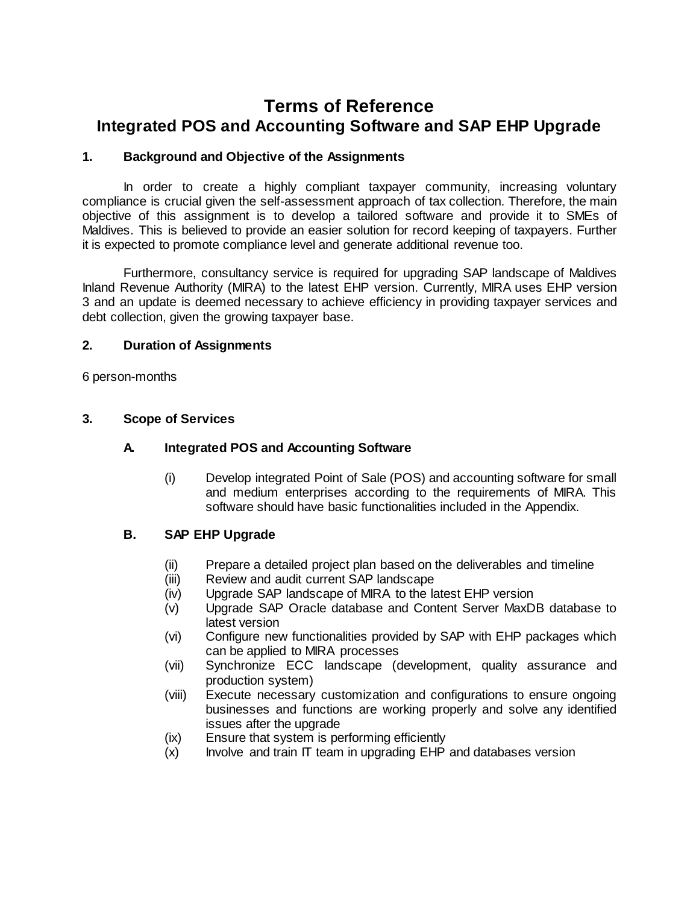# **Terms of Reference Integrated POS and Accounting Software and SAP EHP Upgrade**

### **1. Background and Objective of the Assignments**

In order to create a highly compliant taxpayer community, increasing voluntary compliance is crucial given the self-assessment approach of tax collection. Therefore, the main objective of this assignment is to develop a tailored software and provide it to SMEs of Maldives. This is believed to provide an easier solution for record keeping of taxpayers. Further it is expected to promote compliance level and generate additional revenue too.

Furthermore, consultancy service is required for upgrading SAP landscape of Maldives Inland Revenue Authority (MIRA) to the latest EHP version. Currently, MIRA uses EHP version 3 and an update is deemed necessary to achieve efficiency in providing taxpayer services and debt collection, given the growing taxpayer base.

### **2. Duration of Assignments**

6 person-months

### **3. Scope of Services**

### **A. Integrated POS and Accounting Software**

(i) Develop integrated Point of Sale (POS) and accounting software for small and medium enterprises according to the requirements of MIRA. This software should have basic functionalities included in the Appendix.

### **B. SAP EHP Upgrade**

- (ii) Prepare a detailed project plan based on the deliverables and timeline
- (iii) Review and audit current SAP landscape
- (iv) Upgrade SAP landscape of MIRA to the latest EHP version
- (v) Upgrade SAP Oracle database and Content Server MaxDB database to latest version
- (vi) Configure new functionalities provided by SAP with EHP packages which can be applied to MIRA processes
- (vii) Synchronize ECC landscape (development, quality assurance and production system)
- (viii) Execute necessary customization and configurations to ensure ongoing businesses and functions are working properly and solve any identified issues after the upgrade
- (ix) Ensure that system is performing efficiently
- (x) Involve and train IT team in upgrading EHP and databases version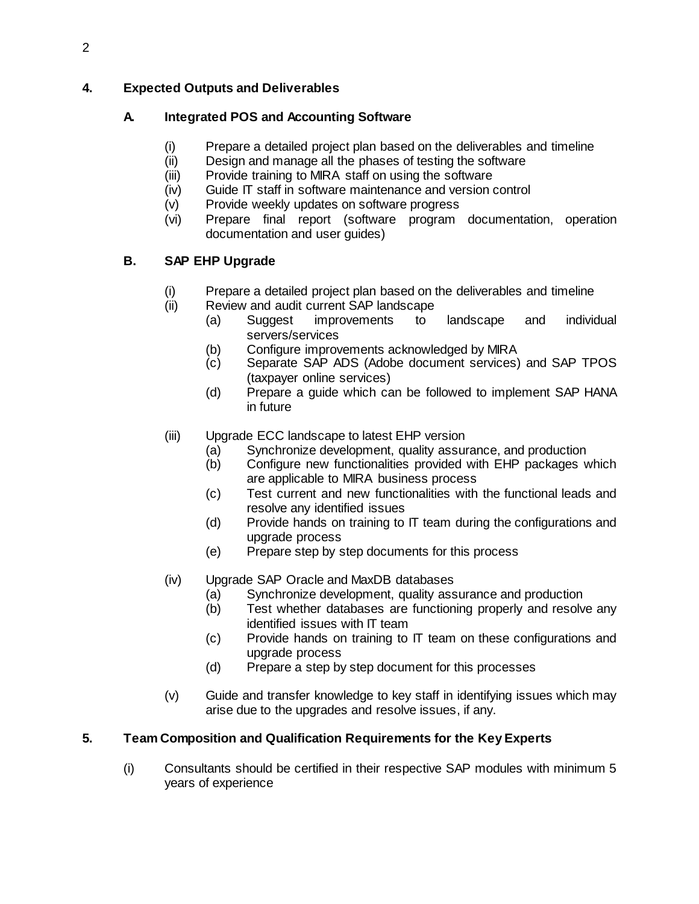# **4. Expected Outputs and Deliverables**

# **A. Integrated POS and Accounting Software**

- (i) Prepare a detailed project plan based on the deliverables and timeline
- (ii) Design and manage all the phases of testing the software
- (iii) Provide training to MIRA staff on using the software
- (iv) Guide IT staff in software maintenance and version control
- (v) Provide weekly updates on software progress
- (vi) Prepare final report (software program documentation, operation documentation and user guides)

# **B. SAP EHP Upgrade**

- (i) Prepare a detailed project plan based on the deliverables and timeline
- (ii) Review and audit current SAP landscape
	- (a) Suggest improvements to landscape and individual servers/services
	- (b) Configure improvements acknowledged by MIRA
	- (c) Separate SAP ADS (Adobe document services) and SAP TPOS (taxpayer online services)
	- (d) Prepare a guide which can be followed to implement SAP HANA in future
- (iii) Upgrade ECC landscape to latest EHP version
	- (a) Synchronize development, quality assurance, and production<br>(b) Configure new functionalities provided with EHP packages v
	- Configure new functionalities provided with EHP packages which are applicable to MIRA business process
	- (c) Test current and new functionalities with the functional leads and resolve any identified issues
	- (d) Provide hands on training to IT team during the configurations and upgrade process
	- (e) Prepare step by step documents for this process
- (iv) Upgrade SAP Oracle and MaxDB databases
	- (a) Synchronize development, quality assurance and production
	- (b) Test whether databases are functioning properly and resolve any identified issues with IT team
	- (c) Provide hands on training to IT team on these configurations and upgrade process
	- (d) Prepare a step by step document for this processes
- (v) Guide and transfer knowledge to key staff in identifying issues which may arise due to the upgrades and resolve issues, if any.

# **5. Team Composition and Qualification Requirements for the Key Experts**

(i) Consultants should be certified in their respective SAP modules with minimum 5 years of experience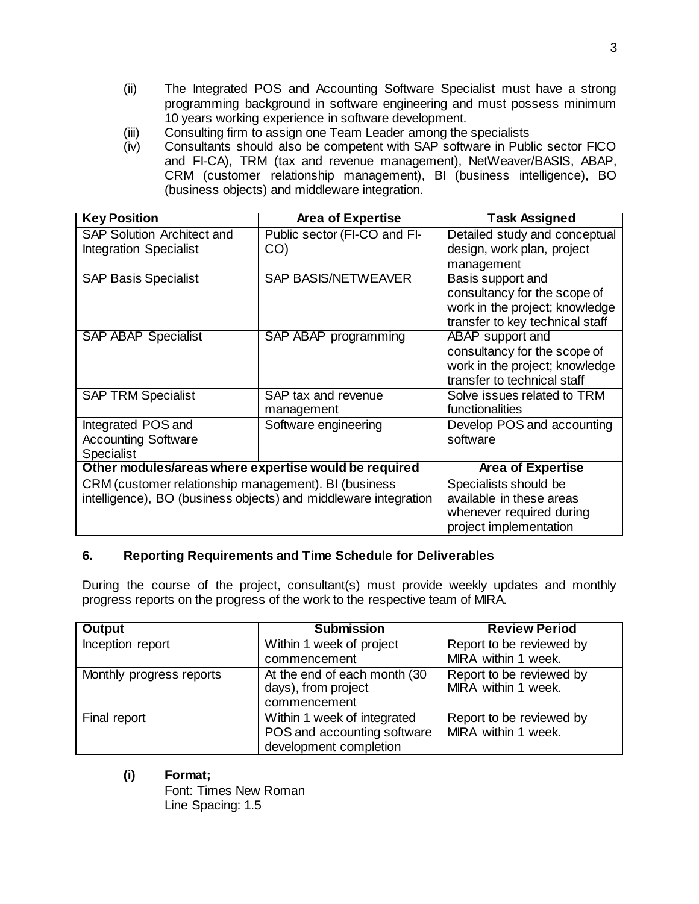- (ii) The Integrated POS and Accounting Software Specialist must have a strong programming background in software engineering and must possess minimum 10 years working experience in software development.
- (iii) Consulting firm to assign one Team Leader among the specialists<br>(iv) Consultants should also be competent with SAP software in Publ
- Consultants should also be competent with SAP software in Public sector FICO and FI-CA), TRM (tax and revenue management), NetWeaver/BASIS, ABAP, CRM (customer relationship management), BI (business intelligence), BO (business objects) and middleware integration.

| <b>Key Position</b>                                             | <b>Area of Expertise</b>     | Task Assigned                   |
|-----------------------------------------------------------------|------------------------------|---------------------------------|
| <b>SAP Solution Architect and</b>                               | Public sector (FI-CO and FI- | Detailed study and conceptual   |
| <b>Integration Specialist</b>                                   | CO)                          | design, work plan, project      |
|                                                                 |                              | management                      |
| <b>SAP Basis Specialist</b>                                     | <b>SAP BASIS/NETWEAVER</b>   | Basis support and               |
|                                                                 |                              | consultancy for the scope of    |
|                                                                 |                              | work in the project; knowledge  |
|                                                                 |                              | transfer to key technical staff |
| <b>SAP ABAP Specialist</b>                                      | SAP ABAP programming         | ABAP support and                |
|                                                                 |                              | consultancy for the scope of    |
|                                                                 |                              | work in the project; knowledge  |
|                                                                 |                              | transfer to technical staff     |
| <b>SAP TRM Specialist</b>                                       | SAP tax and revenue          | Solve issues related to TRM     |
|                                                                 | management                   | functionalities                 |
| Integrated POS and                                              | Software engineering         | Develop POS and accounting      |
| <b>Accounting Software</b>                                      |                              | software                        |
| <b>Specialist</b>                                               |                              |                                 |
| Other modules/areas where expertise would be required           |                              | <b>Area of Expertise</b>        |
| CRM (customer relationship management). BI (business            |                              | Specialists should be           |
| intelligence), BO (business objects) and middleware integration |                              | available in these areas        |
|                                                                 |                              | whenever required during        |
|                                                                 |                              | project implementation          |

### **6. Reporting Requirements and Time Schedule for Deliverables**

During the course of the project, consultant(s) must provide weekly updates and monthly progress reports on the progress of the work to the respective team of MIRA.

| <b>Output</b>            | <b>Submission</b>                                                                    | <b>Review Period</b>                            |
|--------------------------|--------------------------------------------------------------------------------------|-------------------------------------------------|
| Inception report         | Within 1 week of project                                                             | Report to be reviewed by                        |
|                          | commencement                                                                         | MIRA within 1 week.                             |
| Monthly progress reports | At the end of each month (30)<br>days), from project<br>commencement                 | Report to be reviewed by<br>MIRA within 1 week. |
| Final report             | Within 1 week of integrated<br>POS and accounting software<br>development completion | Report to be reviewed by<br>MIRA within 1 week. |

**(i) Format;** 

Font: Times New Roman Line Spacing: 1.5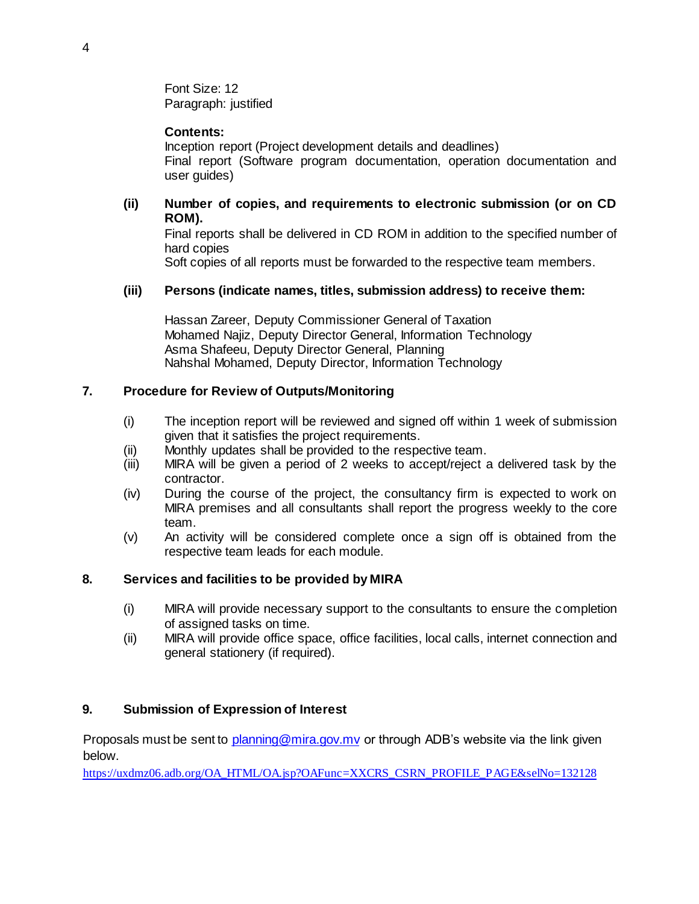Font Size: 12 Paragraph: justified

### **Contents:**

Inception report (Project development details and deadlines) Final report (Software program documentation, operation documentation and user guides)

### **(ii) Number of copies, and requirements to electronic submission (or on CD ROM).**

Final reports shall be delivered in CD ROM in addition to the specified number of hard copies

Soft copies of all reports must be forwarded to the respective team members.

### **(iii) Persons (indicate names, titles, submission address) to receive them:**

Hassan Zareer, Deputy Commissioner General of Taxation Mohamed Najiz, Deputy Director General, Information Technology Asma Shafeeu, Deputy Director General, Planning Nahshal Mohamed, Deputy Director, Information Technology

### **7. Procedure for Review of Outputs/Monitoring**

- (i) The inception report will be reviewed and signed off within 1 week of submission given that it satisfies the project requirements.
- (ii) Monthly updates shall be provided to the respective team.
- (iii) MIRA will be given a period of 2 weeks to accept/reject a delivered task by the contractor.
- (iv) During the course of the project, the consultancy firm is expected to work on MIRA premises and all consultants shall report the progress weekly to the core team.
- (v) An activity will be considered complete once a sign off is obtained from the respective team leads for each module.

### **8. Services and facilities to be provided by MIRA**

- (i) MIRA will provide necessary support to the consultants to ensure the completion of assigned tasks on time.
- (ii) MIRA will provide office space, office facilities, local calls, internet connection and general stationery (if required).

### **9. Submission of Expression of Interest**

Proposals must be sent to [planning@mira.gov.mv](mailto:planning@mira.gov.mv) or through ADB's website via the link given below.

[https://uxdmz06.adb.org/OA\\_HTML/OA.jsp?OAFunc=XXCRS\\_CSRN\\_PROFILE\\_PAGE&selNo=132128](https://uxdmz06.adb.org/OA_HTML/OA.jsp?OAFunc=XXCRS_CSRN_PROFILE_PAGE&selNo=132128)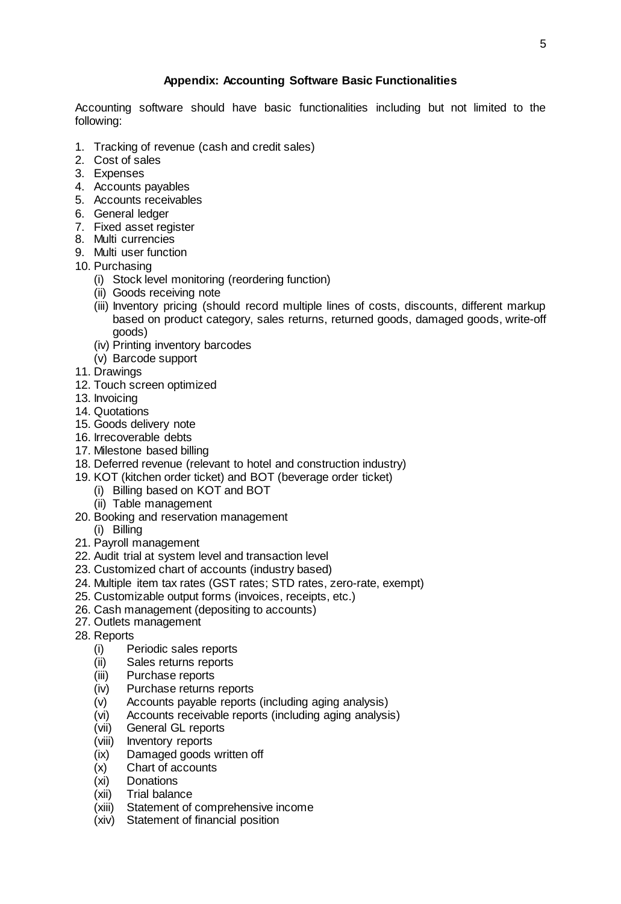### **Appendix: Accounting Software Basic Functionalities**

Accounting software should have basic functionalities including but not limited to the following:

- 1. Tracking of revenue (cash and credit sales)
- 2. Cost of sales
- 3. Expenses
- 4. Accounts payables
- 5. Accounts receivables
- 6. General ledger
- 7. Fixed asset register
- 8. Multi currencies
- 9. Multi user function
- 10. Purchasing
	- (i) Stock level monitoring (reordering function)
	- (ii) Goods receiving note
	- (iii) Inventory pricing (should record multiple lines of costs, discounts, different markup based on product category, sales returns, returned goods, damaged goods, write-off goods)
	- (iv) Printing inventory barcodes
	- (v) Barcode support
- 11. Drawings
- 12. Touch screen optimized
- 13. Invoicing
- 14. Quotations
- 15. Goods delivery note
- 16. Irrecoverable debts
- 17. Milestone based billing
- 18. Deferred revenue (relevant to hotel and construction industry)
- 19. KOT (kitchen order ticket) and BOT (beverage order ticket)
	- (i) Billing based on KOT and BOT
	- (ii) Table management
- 20. Booking and reservation management (i) Billing
- 21. Payroll management
- 22. Audit trial at system level and transaction level
- 23. Customized chart of accounts (industry based)
- 24. Multiple item tax rates (GST rates; STD rates, zero-rate, exempt)
- 25. Customizable output forms (invoices, receipts, etc.)
- 26. Cash management (depositing to accounts)
- 27. Outlets management
- 28. Reports
	- (i) Periodic sales reports
	- (ii) Sales returns reports
	- (iii) Purchase reports
	- (iv) Purchase returns reports
	- (v) Accounts payable reports (including aging analysis)
	- (vi) Accounts receivable reports (including aging analysis)
	- (vii) General GL reports
	- (viii) Inventory reports
	- (ix) Damaged goods written off
	- (x) Chart of accounts
	- (xi) Donations
	- (xii) Trial balance
	- (xiii) Statement of comprehensive income
	- (xiv) Statement of financial position